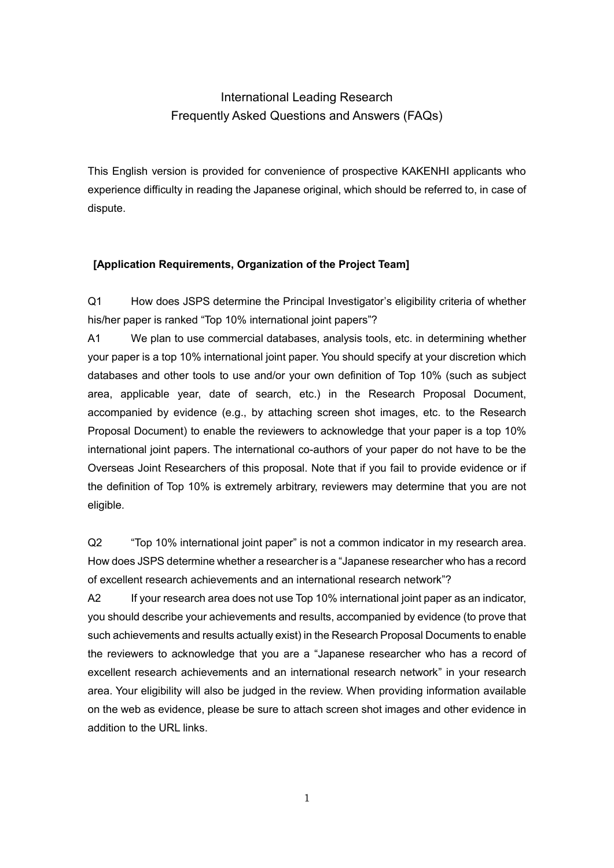# International Leading Research Frequently Asked Questions and Answers (FAQs)

This English version is provided for convenience of prospective KAKENHI applicants who experience difficulty in reading the Japanese original, which should be referred to, in case of dispute.

# **[Application Requirements, Organization of the Project Team]**

Q1 How does JSPS determine the Principal Investigator's eligibility criteria of whether his/her paper is ranked "Top 10% international joint papers"?

A1 We plan to use commercial databases, analysis tools, etc. in determining whether your paper is a top 10% international joint paper. You should specify at your discretion which databases and other tools to use and/or your own definition of Top 10% (such as subject area, applicable year, date of search, etc.) in the Research Proposal Document, accompanied by evidence (e.g., by attaching screen shot images, etc. to the Research Proposal Document) to enable the reviewers to acknowledge that your paper is a top 10% international joint papers. The international co-authors of your paper do not have to be the Overseas Joint Researchers of this proposal. Note that if you fail to provide evidence or if the definition of Top 10% is extremely arbitrary, reviewers may determine that you are not eligible.

Q2 "Top 10% international joint paper" is not a common indicator in my research area. How does JSPS determine whether a researcher is a "Japanese researcher who has a record of excellent research achievements and an international research network"?

A2 If your research area does not use Top 10% international joint paper as an indicator, you should describe your achievements and results, accompanied by evidence (to prove that such achievements and results actually exist) in the Research Proposal Documents to enable the reviewers to acknowledge that you are a "Japanese researcher who has a record of excellent research achievements and an international research network" in your research area. Your eligibility will also be judged in the review. When providing information available on the web as evidence, please be sure to attach screen shot images and other evidence in addition to the URL links.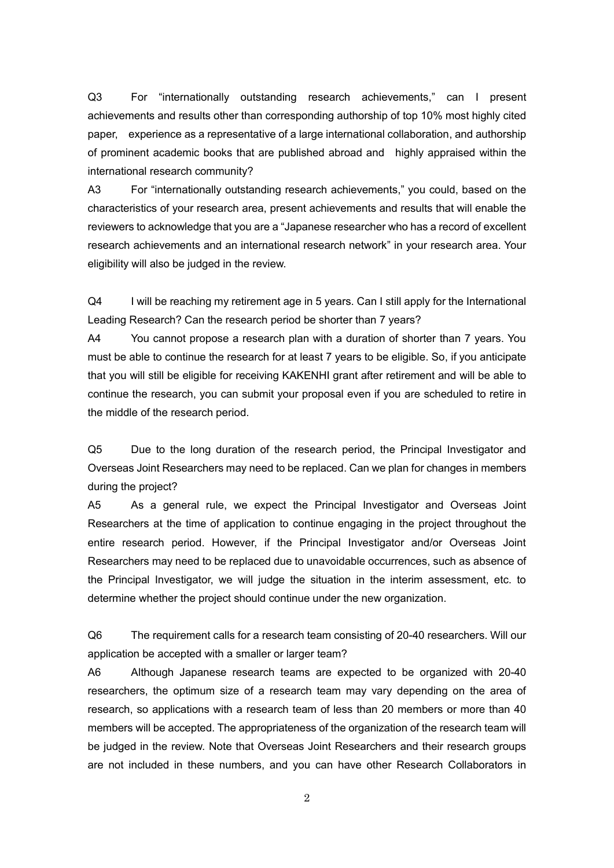Q3 For "internationally outstanding research achievements," can I present achievements and results other than corresponding authorship of top 10% most highly cited paper, experience as a representative of a large international collaboration, and authorship of prominent academic books that are published abroad and highly appraised within the international research community?

A3 For "internationally outstanding research achievements," you could, based on the characteristics of your research area, present achievements and results that will enable the reviewers to acknowledge that you are a "Japanese researcher who has a record of excellent research achievements and an international research network" in your research area. Your eligibility will also be judged in the review.

Q4 I will be reaching my retirement age in 5 years. Can I still apply for the International Leading Research? Can the research period be shorter than 7 years?

A4 You cannot propose a research plan with a duration of shorter than 7 years. You must be able to continue the research for at least 7 years to be eligible. So, if you anticipate that you will still be eligible for receiving KAKENHI grant after retirement and will be able to continue the research, you can submit your proposal even if you are scheduled to retire in the middle of the research period.

Q5 Due to the long duration of the research period, the Principal Investigator and Overseas Joint Researchers may need to be replaced. Can we plan for changes in members during the project?

A5 As a general rule, we expect the Principal Investigator and Overseas Joint Researchers at the time of application to continue engaging in the project throughout the entire research period. However, if the Principal Investigator and/or Overseas Joint Researchers may need to be replaced due to unavoidable occurrences, such as absence of the Principal Investigator, we will judge the situation in the interim assessment, etc. to determine whether the project should continue under the new organization.

Q6 The requirement calls for a research team consisting of 20-40 researchers. Will our application be accepted with a smaller or larger team?

A6 Although Japanese research teams are expected to be organized with 20-40 researchers, the optimum size of a research team may vary depending on the area of research, so applications with a research team of less than 20 members or more than 40 members will be accepted. The appropriateness of the organization of the research team will be judged in the review. Note that Overseas Joint Researchers and their research groups are not included in these numbers, and you can have other Research Collaborators in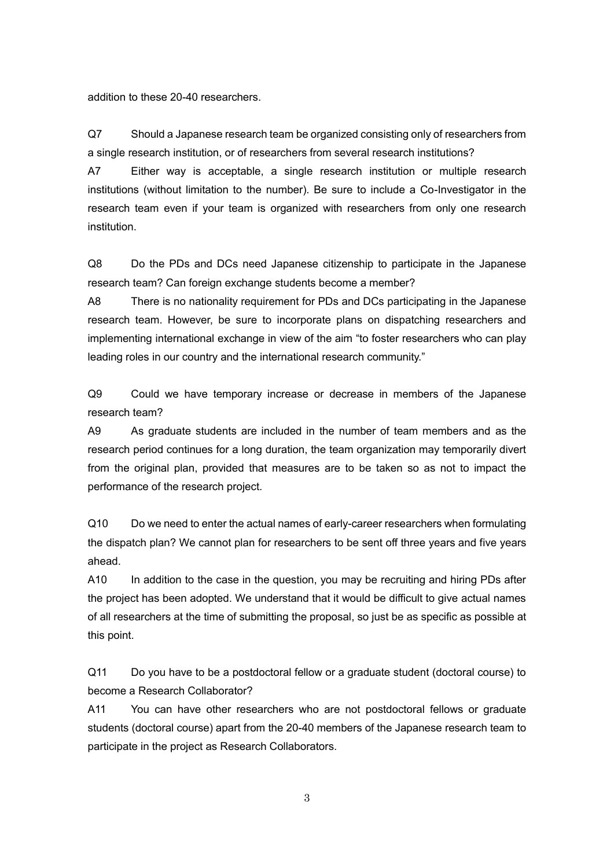addition to these 20-40 researchers.

Q7 Should a Japanese research team be organized consisting only of researchers from a single research institution, or of researchers from several research institutions?

A7 Either way is acceptable, a single research institution or multiple research institutions (without limitation to the number). Be sure to include a Co-Investigator in the research team even if your team is organized with researchers from only one research institution.

Q8 Do the PDs and DCs need Japanese citizenship to participate in the Japanese research team? Can foreign exchange students become a member?

A8 There is no nationality requirement for PDs and DCs participating in the Japanese research team. However, be sure to incorporate plans on dispatching researchers and implementing international exchange in view of the aim "to foster researchers who can play leading roles in our country and the international research community."

Q9 Could we have temporary increase or decrease in members of the Japanese research team?

A9 As graduate students are included in the number of team members and as the research period continues for a long duration, the team organization may temporarily divert from the original plan, provided that measures are to be taken so as not to impact the performance of the research project.

Q10 Do we need to enter the actual names of early-career researchers when formulating the dispatch plan? We cannot plan for researchers to be sent off three years and five years ahead.

A10 In addition to the case in the question, you may be recruiting and hiring PDs after the project has been adopted. We understand that it would be difficult to give actual names of all researchers at the time of submitting the proposal, so just be as specific as possible at this point.

Q11 Do you have to be a postdoctoral fellow or a graduate student (doctoral course) to become a Research Collaborator?

A11 You can have other researchers who are not postdoctoral fellows or graduate students (doctoral course) apart from the 20-40 members of the Japanese research team to participate in the project as Research Collaborators.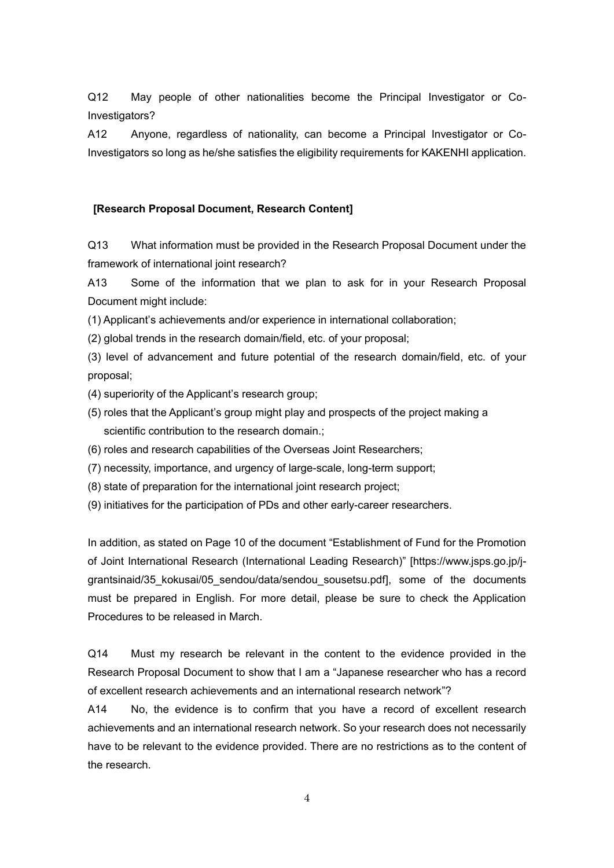Q12 May people of other nationalities become the Principal Investigator or Co-Investigators?

A12 Anyone, regardless of nationality, can become a Principal Investigator or Co-Investigators so long as he/she satisfies the eligibility requirements for KAKENHI application.

# **[Research Proposal Document, Research Content]**

Q13 What information must be provided in the Research Proposal Document under the framework of international joint research?

A13 Some of the information that we plan to ask for in your Research Proposal Document might include:

(1) Applicant's achievements and/or experience in international collaboration;

(2) global trends in the research domain/field, etc. of your proposal;

(3) level of advancement and future potential of the research domain/field, etc. of your proposal;

(4) superiority of the Applicant's research group;

- (5) roles that the Applicant's group might play and prospects of the project making a scientific contribution to the research domain.;
- (6) roles and research capabilities of the Overseas Joint Researchers;
- (7) necessity, importance, and urgency of large-scale, long-term support;
- (8) state of preparation for the international joint research project;
- (9) initiatives for the participation of PDs and other early-career researchers.

In addition, as stated on Page 10 of the document "Establishment of Fund for the Promotion of Joint International Research (International Leading Research)" [https://www.jsps.go.jp/jgrantsinaid/35 kokusai/05 sendou/data/sendou sousetsu.pdf], some of the documents must be prepared in English. For more detail, please be sure to check the Application Procedures to be released in March.

Q14 Must my research be relevant in the content to the evidence provided in the Research Proposal Document to show that I am a "Japanese researcher who has a record of excellent research achievements and an international research network"?

A14 No, the evidence is to confirm that you have a record of excellent research achievements and an international research network. So your research does not necessarily have to be relevant to the evidence provided. There are no restrictions as to the content of the research.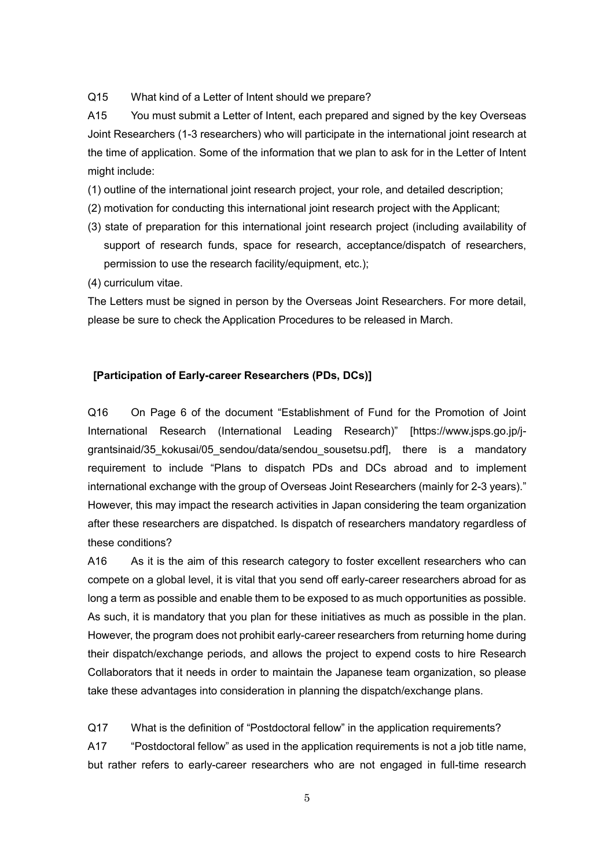Q15 What kind of a Letter of Intent should we prepare?

A15 You must submit a Letter of Intent, each prepared and signed by the key Overseas Joint Researchers (1-3 researchers) who will participate in the international joint research at the time of application. Some of the information that we plan to ask for in the Letter of Intent might include:

(1) outline of the international joint research project, your role, and detailed description;

- (2) motivation for conducting this international joint research project with the Applicant;
- (3) state of preparation for this international joint research project (including availability of support of research funds, space for research, acceptance/dispatch of researchers, permission to use the research facility/equipment, etc.);
- (4) curriculum vitae.

The Letters must be signed in person by the Overseas Joint Researchers. For more detail, please be sure to check the Application Procedures to be released in March.

## **[Participation of Early-career Researchers (PDs, DCs)]**

Q16 On Page 6 of the document "Establishment of Fund for the Promotion of Joint International Research (International Leading Research)" [https://www.jsps.go.jp/jgrantsinaid/35 kokusai/05 sendou/data/sendou sousetsu.pdf], there is a mandatory requirement to include "Plans to dispatch PDs and DCs abroad and to implement international exchange with the group of Overseas Joint Researchers (mainly for 2-3 years)." However, this may impact the research activities in Japan considering the team organization after these researchers are dispatched. Is dispatch of researchers mandatory regardless of these conditions?

A16 As it is the aim of this research category to foster excellent researchers who can compete on a global level, it is vital that you send off early-career researchers abroad for as long a term as possible and enable them to be exposed to as much opportunities as possible. As such, it is mandatory that you plan for these initiatives as much as possible in the plan. However, the program does not prohibit early-career researchers from returning home during their dispatch/exchange periods, and allows the project to expend costs to hire Research Collaborators that it needs in order to maintain the Japanese team organization, so please take these advantages into consideration in planning the dispatch/exchange plans.

Q17 What is the definition of "Postdoctoral fellow" in the application requirements?

A17 "Postdoctoral fellow" as used in the application requirements is not a job title name, but rather refers to early-career researchers who are not engaged in full-time research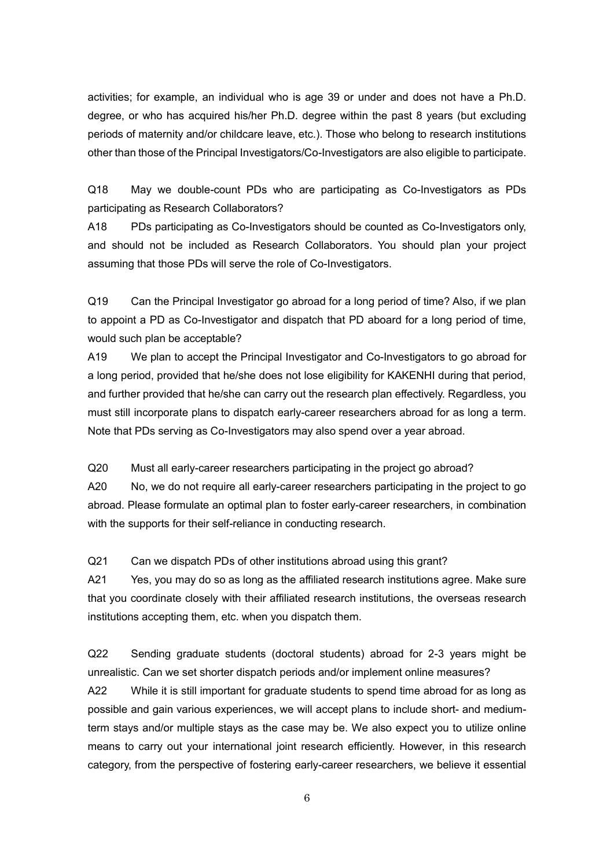activities; for example, an individual who is age 39 or under and does not have a Ph.D. degree, or who has acquired his/her Ph.D. degree within the past 8 years (but excluding periods of maternity and/or childcare leave, etc.). Those who belong to research institutions other than those of the Principal Investigators/Co-Investigators are also eligible to participate.

Q18 May we double-count PDs who are participating as Co-Investigators as PDs participating as Research Collaborators?

A18 PDs participating as Co-Investigators should be counted as Co-Investigators only, and should not be included as Research Collaborators. You should plan your project assuming that those PDs will serve the role of Co-Investigators.

Q19 Can the Principal Investigator go abroad for a long period of time? Also, if we plan to appoint a PD as Co-Investigator and dispatch that PD aboard for a long period of time, would such plan be acceptable?

A19 We plan to accept the Principal Investigator and Co-Investigators to go abroad for a long period, provided that he/she does not lose eligibility for KAKENHI during that period, and further provided that he/she can carry out the research plan effectively. Regardless, you must still incorporate plans to dispatch early-career researchers abroad for as long a term. Note that PDs serving as Co-Investigators may also spend over a year abroad.

Q20 Must all early-career researchers participating in the project go abroad?

A20 No, we do not require all early-career researchers participating in the project to go abroad. Please formulate an optimal plan to foster early-career researchers, in combination with the supports for their self-reliance in conducting research.

Q21 Can we dispatch PDs of other institutions abroad using this grant?

A21 Yes, you may do so as long as the affiliated research institutions agree. Make sure that you coordinate closely with their affiliated research institutions, the overseas research institutions accepting them, etc. when you dispatch them.

Q22 Sending graduate students (doctoral students) abroad for 2-3 years might be unrealistic. Can we set shorter dispatch periods and/or implement online measures?

A22 While it is still important for graduate students to spend time abroad for as long as possible and gain various experiences, we will accept plans to include short- and mediumterm stays and/or multiple stays as the case may be. We also expect you to utilize online means to carry out your international joint research efficiently. However, in this research category, from the perspective of fostering early-career researchers, we believe it essential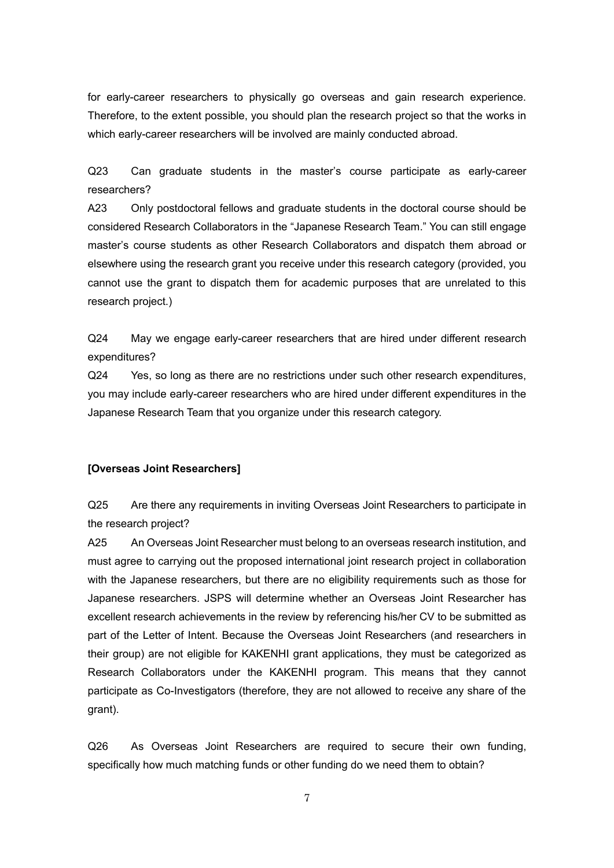for early-career researchers to physically go overseas and gain research experience. Therefore, to the extent possible, you should plan the research project so that the works in which early-career researchers will be involved are mainly conducted abroad.

Q23 Can graduate students in the master's course participate as early-career researchers?

A23 Only postdoctoral fellows and graduate students in the doctoral course should be considered Research Collaborators in the "Japanese Research Team." You can still engage master's course students as other Research Collaborators and dispatch them abroad or elsewhere using the research grant you receive under this research category (provided, you cannot use the grant to dispatch them for academic purposes that are unrelated to this research project.)

Q24 May we engage early-career researchers that are hired under different research expenditures?

Q24 Yes, so long as there are no restrictions under such other research expenditures, you may include early-career researchers who are hired under different expenditures in the Japanese Research Team that you organize under this research category.

# **[Overseas Joint Researchers]**

Q25 Are there any requirements in inviting Overseas Joint Researchers to participate in the research project?

A25 An Overseas Joint Researcher must belong to an overseas research institution, and must agree to carrying out the proposed international joint research project in collaboration with the Japanese researchers, but there are no eligibility requirements such as those for Japanese researchers. JSPS will determine whether an Overseas Joint Researcher has excellent research achievements in the review by referencing his/her CV to be submitted as part of the Letter of Intent. Because the Overseas Joint Researchers (and researchers in their group) are not eligible for KAKENHI grant applications, they must be categorized as Research Collaborators under the KAKENHI program. This means that they cannot participate as Co-Investigators (therefore, they are not allowed to receive any share of the grant).

Q26 As Overseas Joint Researchers are required to secure their own funding, specifically how much matching funds or other funding do we need them to obtain?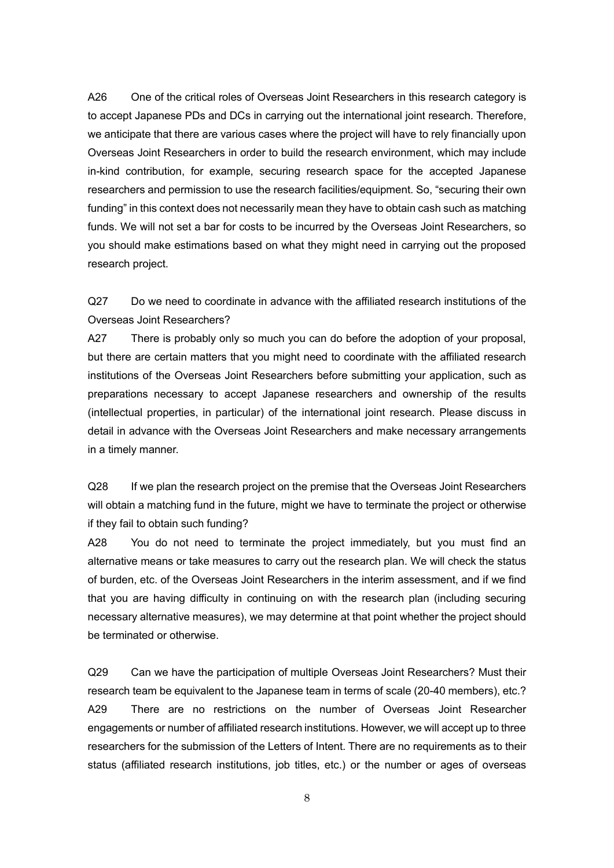A26 One of the critical roles of Overseas Joint Researchers in this research category is to accept Japanese PDs and DCs in carrying out the international joint research. Therefore, we anticipate that there are various cases where the project will have to rely financially upon Overseas Joint Researchers in order to build the research environment, which may include in-kind contribution, for example, securing research space for the accepted Japanese researchers and permission to use the research facilities/equipment. So, "securing their own funding" in this context does not necessarily mean they have to obtain cash such as matching funds. We will not set a bar for costs to be incurred by the Overseas Joint Researchers, so you should make estimations based on what they might need in carrying out the proposed research project.

Q27 Do we need to coordinate in advance with the affiliated research institutions of the Overseas Joint Researchers?

A27 There is probably only so much you can do before the adoption of your proposal, but there are certain matters that you might need to coordinate with the affiliated research institutions of the Overseas Joint Researchers before submitting your application, such as preparations necessary to accept Japanese researchers and ownership of the results (intellectual properties, in particular) of the international joint research. Please discuss in detail in advance with the Overseas Joint Researchers and make necessary arrangements in a timely manner.

Q28 If we plan the research project on the premise that the Overseas Joint Researchers will obtain a matching fund in the future, might we have to terminate the project or otherwise if they fail to obtain such funding?

A28 You do not need to terminate the project immediately, but you must find an alternative means or take measures to carry out the research plan. We will check the status of burden, etc. of the Overseas Joint Researchers in the interim assessment, and if we find that you are having difficulty in continuing on with the research plan (including securing necessary alternative measures), we may determine at that point whether the project should be terminated or otherwise.

Q29 Can we have the participation of multiple Overseas Joint Researchers? Must their research team be equivalent to the Japanese team in terms of scale (20-40 members), etc.? A29 There are no restrictions on the number of Overseas Joint Researcher engagements or number of affiliated research institutions. However, we will accept up to three researchers for the submission of the Letters of Intent. There are no requirements as to their status (affiliated research institutions, job titles, etc.) or the number or ages of overseas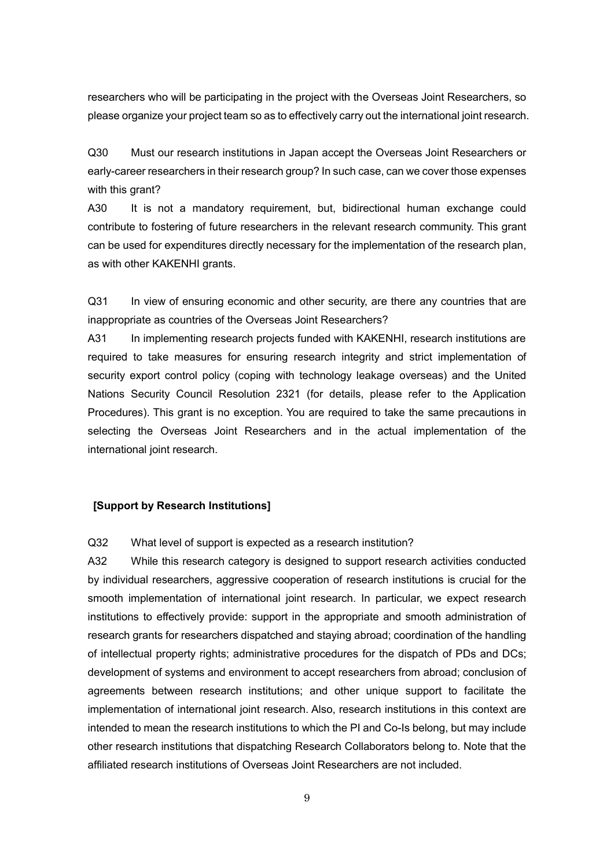researchers who will be participating in the project with the Overseas Joint Researchers, so please organize your project team so as to effectively carry out the international joint research.

Q30 Must our research institutions in Japan accept the Overseas Joint Researchers or early-career researchers in their research group? In such case, can we cover those expenses with this grant?

A30 It is not a mandatory requirement, but, bidirectional human exchange could contribute to fostering of future researchers in the relevant research community. This grant can be used for expenditures directly necessary for the implementation of the research plan, as with other KAKENHI grants.

Q31 In view of ensuring economic and other security, are there any countries that are inappropriate as countries of the Overseas Joint Researchers?

A31 In implementing research projects funded with KAKENHI, research institutions are required to take measures for ensuring research integrity and strict implementation of security export control policy (coping with technology leakage overseas) and the United Nations Security Council Resolution 2321 (for details, please refer to the Application Procedures). This grant is no exception. You are required to take the same precautions in selecting the Overseas Joint Researchers and in the actual implementation of the international joint research.

## **[Support by Research Institutions]**

Q32 What level of support is expected as a research institution?

A32 While this research category is designed to support research activities conducted by individual researchers, aggressive cooperation of research institutions is crucial for the smooth implementation of international joint research. In particular, we expect research institutions to effectively provide: support in the appropriate and smooth administration of research grants for researchers dispatched and staying abroad; coordination of the handling of intellectual property rights; administrative procedures for the dispatch of PDs and DCs; development of systems and environment to accept researchers from abroad; conclusion of agreements between research institutions; and other unique support to facilitate the implementation of international joint research. Also, research institutions in this context are intended to mean the research institutions to which the PI and Co-Is belong, but may include other research institutions that dispatching Research Collaborators belong to. Note that the affiliated research institutions of Overseas Joint Researchers are not included.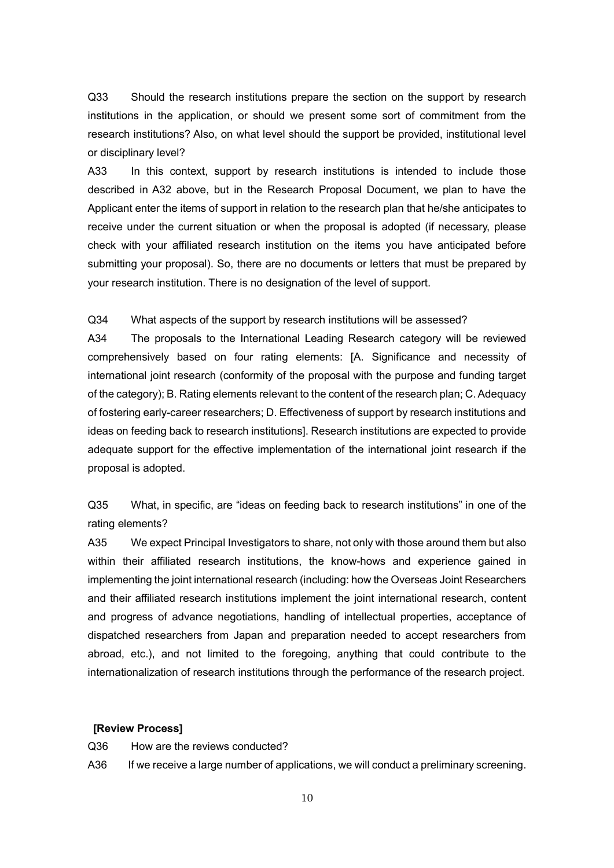Q33 Should the research institutions prepare the section on the support by research institutions in the application, or should we present some sort of commitment from the research institutions? Also, on what level should the support be provided, institutional level or disciplinary level?

A33 In this context, support by research institutions is intended to include those described in A32 above, but in the Research Proposal Document, we plan to have the Applicant enter the items of support in relation to the research plan that he/she anticipates to receive under the current situation or when the proposal is adopted (if necessary, please check with your affiliated research institution on the items you have anticipated before submitting your proposal). So, there are no documents or letters that must be prepared by your research institution. There is no designation of the level of support.

#### Q34 What aspects of the support by research institutions will be assessed?

A34 The proposals to the International Leading Research category will be reviewed comprehensively based on four rating elements: [A. Significance and necessity of international joint research (conformity of the proposal with the purpose and funding target of the category); B. Rating elements relevant to the content of the research plan; C. Adequacy of fostering early-career researchers; D. Effectiveness of support by research institutions and ideas on feeding back to research institutions]. Research institutions are expected to provide adequate support for the effective implementation of the international joint research if the proposal is adopted.

Q35 What, in specific, are "ideas on feeding back to research institutions" in one of the rating elements?

A35 We expect Principal Investigators to share, not only with those around them but also within their affiliated research institutions, the know-hows and experience gained in implementing the joint international research (including: how the Overseas Joint Researchers and their affiliated research institutions implement the joint international research, content and progress of advance negotiations, handling of intellectual properties, acceptance of dispatched researchers from Japan and preparation needed to accept researchers from abroad, etc.), and not limited to the foregoing, anything that could contribute to the internationalization of research institutions through the performance of the research project.

#### **[Review Process]**

Q36 How are the reviews conducted?

A36 If we receive a large number of applications, we will conduct a preliminary screening.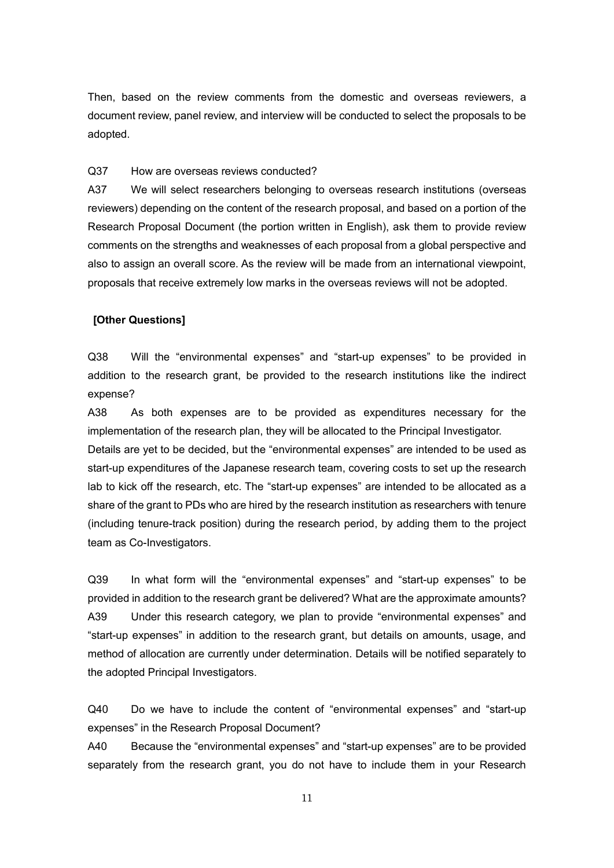Then, based on the review comments from the domestic and overseas reviewers, a document review, panel review, and interview will be conducted to select the proposals to be adopted.

#### Q37 How are overseas reviews conducted?

A37 We will select researchers belonging to overseas research institutions (overseas reviewers) depending on the content of the research proposal, and based on a portion of the Research Proposal Document (the portion written in English), ask them to provide review comments on the strengths and weaknesses of each proposal from a global perspective and also to assign an overall score. As the review will be made from an international viewpoint, proposals that receive extremely low marks in the overseas reviews will not be adopted.

### **[Other Questions]**

Q38 Will the "environmental expenses" and "start-up expenses" to be provided in addition to the research grant, be provided to the research institutions like the indirect expense?

A38 As both expenses are to be provided as expenditures necessary for the implementation of the research plan, they will be allocated to the Principal Investigator. Details are yet to be decided, but the "environmental expenses" are intended to be used as start-up expenditures of the Japanese research team, covering costs to set up the research lab to kick off the research, etc. The "start-up expenses" are intended to be allocated as a share of the grant to PDs who are hired by the research institution as researchers with tenure (including tenure-track position) during the research period, by adding them to the project team as Co-Investigators.

Q39 In what form will the "environmental expenses" and "start-up expenses" to be provided in addition to the research grant be delivered? What are the approximate amounts? A39 Under this research category, we plan to provide "environmental expenses" and "start-up expenses" in addition to the research grant, but details on amounts, usage, and method of allocation are currently under determination. Details will be notified separately to the adopted Principal Investigators.

Q40 Do we have to include the content of "environmental expenses" and "start-up expenses" in the Research Proposal Document?

A40 Because the "environmental expenses" and "start-up expenses" are to be provided separately from the research grant, you do not have to include them in your Research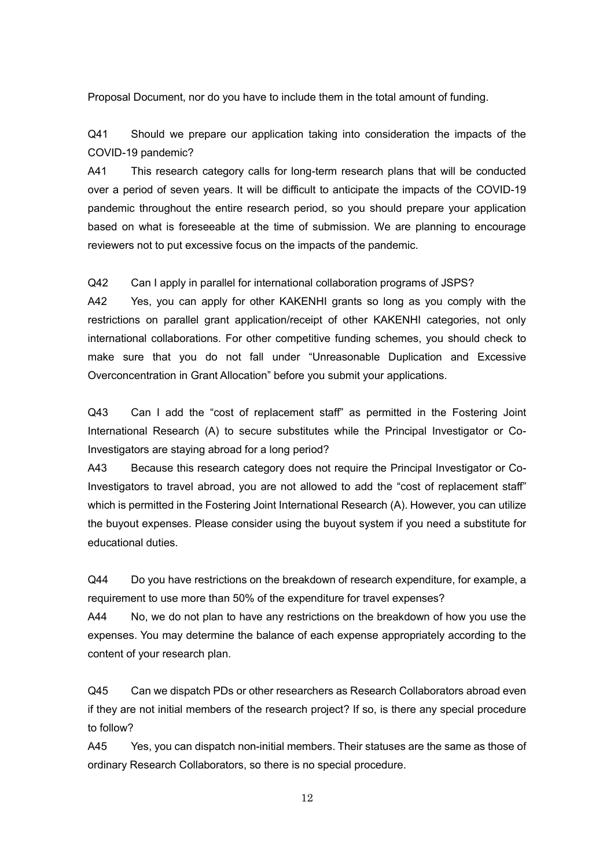Proposal Document, nor do you have to include them in the total amount of funding.

Q41 Should we prepare our application taking into consideration the impacts of the COVID-19 pandemic?

A41 This research category calls for long-term research plans that will be conducted over a period of seven years. It will be difficult to anticipate the impacts of the COVID-19 pandemic throughout the entire research period, so you should prepare your application based on what is foreseeable at the time of submission. We are planning to encourage reviewers not to put excessive focus on the impacts of the pandemic.

Q42 Can I apply in parallel for international collaboration programs of JSPS?

A42 Yes, you can apply for other KAKENHI grants so long as you comply with the restrictions on parallel grant application/receipt of other KAKENHI categories, not only international collaborations. For other competitive funding schemes, you should check to make sure that you do not fall under "Unreasonable Duplication and Excessive Overconcentration in Grant Allocation" before you submit your applications.

Q43 Can I add the "cost of replacement staff" as permitted in the Fostering Joint International Research (A) to secure substitutes while the Principal Investigator or Co-Investigators are staying abroad for a long period?

A43 Because this research category does not require the Principal Investigator or Co-Investigators to travel abroad, you are not allowed to add the "cost of replacement staff" which is permitted in the Fostering Joint International Research (A). However, you can utilize the buyout expenses. Please consider using the buyout system if you need a substitute for educational duties.

Q44 Do you have restrictions on the breakdown of research expenditure, for example, a requirement to use more than 50% of the expenditure for travel expenses?

A44 No, we do not plan to have any restrictions on the breakdown of how you use the expenses. You may determine the balance of each expense appropriately according to the content of your research plan.

Q45 Can we dispatch PDs or other researchers as Research Collaborators abroad even if they are not initial members of the research project? If so, is there any special procedure to follow?

A45 Yes, you can dispatch non-initial members. Their statuses are the same as those of ordinary Research Collaborators, so there is no special procedure.